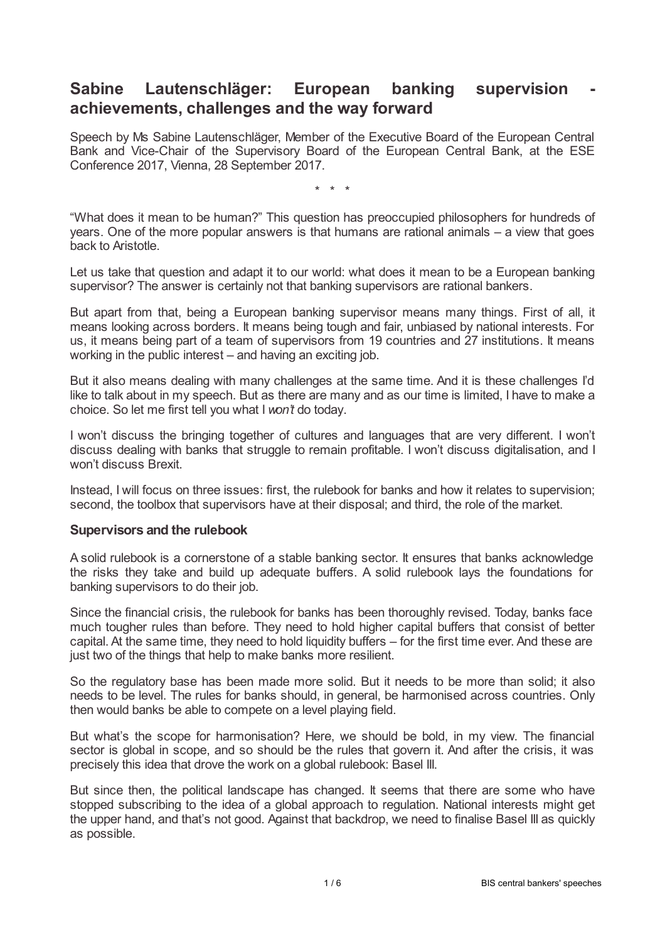# **Sabine Lautenschläger: European banking supervision achievements, challenges and the way forward**

Speech by Ms Sabine Lautenschläger, Member of the Executive Board of the European Central Bank and Vice-Chair of the Supervisory Board of the European Central Bank, at the ESE Conference 2017, Vienna, 28 September 2017.

\* \* \*

"What does it mean to be human?" This question has preoccupied philosophers for hundreds of years. One of the more popular answers is that humans are rational animals – a view that goes back to Aristotle.

Let us take that question and adapt it to our world: what does it mean to be a European banking supervisor? The answer is certainly not that banking supervisors are rational bankers.

But apart from that, being a European banking supervisor means many things. First of all, it means looking across borders. It means being tough and fair, unbiased by national interests. For us, it means being part of a team of supervisors from 19 countries and 27 institutions. It means working in the public interest – and having an exciting job.

But it also means dealing with many challenges at the same time. And it is these challenges I'd like to talk about in my speech. But as there are many and as our time is limited, I have to make a choice. So let me first tell you what I *won't* do today.

I won't discuss the bringing together of cultures and languages that are very different. I won't discuss dealing with banks that struggle to remain profitable. I won't discuss digitalisation, and I won't discuss Brexit.

Instead, I will focus on three issues: first, the rulebook for banks and how it relates to supervision; second, the toolbox that supervisors have at their disposal; and third, the role of the market.

### **Supervisors and the rulebook**

A solid rulebook is a cornerstone of a stable banking sector. It ensures that banks acknowledge the risks they take and build up adequate buffers. A solid rulebook lays the foundations for banking supervisors to do their job.

Since the financial crisis, the rulebook for banks has been thoroughly revised. Today, banks face much tougher rules than before. They need to hold higher capital buffers that consist of better capital. At the same time, they need to hold liquidity buffers – for the first time ever. And these are just two of the things that help to make banks more resilient.

So the regulatory base has been made more solid. But it needs to be more than solid; it also needs to be level. The rules for banks should, in general, be harmonised across countries. Only then would banks be able to compete on a level playing field.

But what's the scope for harmonisation? Here, we should be bold, in my view. The financial sector is global in scope, and so should be the rules that govern it. And after the crisis, it was precisely this idea that drove the work on a global rulebook: Basel III.

But since then, the political landscape has changed. It seems that there are some who have stopped subscribing to the idea of a global approach to regulation. National interests might get the upper hand, and that's not good. Against that backdrop, we need to finalise Basel III as quickly as possible.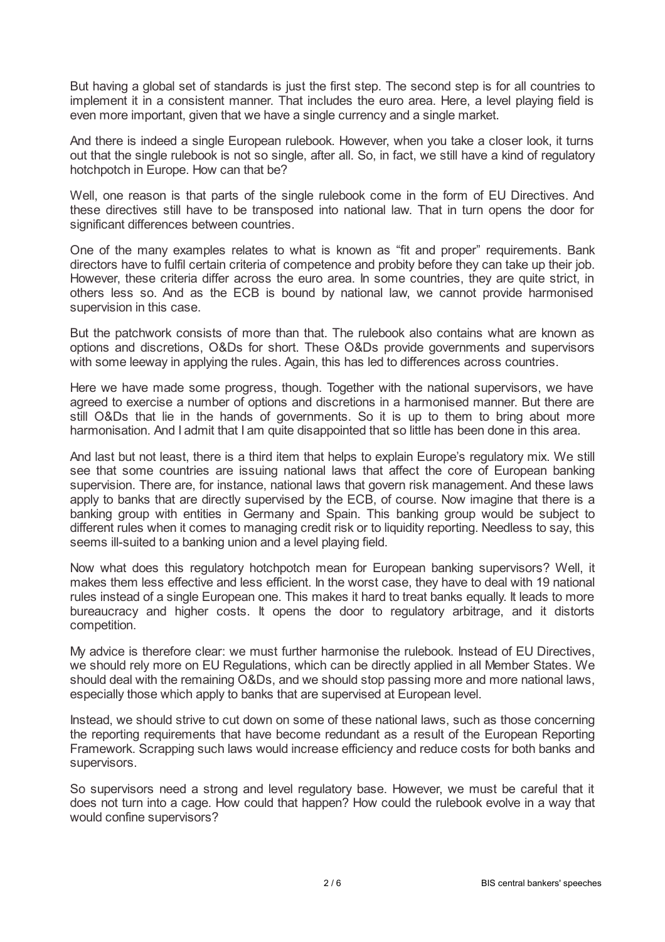But having a global set of standards is just the first step. The second step is for all countries to implement it in a consistent manner. That includes the euro area. Here, a level playing field is even more important, given that we have a single currency and a single market.

And there is indeed a single European rulebook. However, when you take a closer look, it turns out that the single rulebook is not so single, after all. So, in fact, we still have a kind of regulatory hotchpotch in Europe. How can that be?

Well, one reason is that parts of the single rulebook come in the form of EU Directives. And these directives still have to be transposed into national law. That in turn opens the door for significant differences between countries.

One of the many examples relates to what is known as "fit and proper" requirements. Bank directors have to fulfil certain criteria of competence and probity before they can take up their job. However, these criteria differ across the euro area. In some countries, they are quite strict, in others less so. And as the ECB is bound by national law, we cannot provide harmonised supervision in this case.

But the patchwork consists of more than that. The rulebook also contains what are known as options and discretions, O&Ds for short. These O&Ds provide governments and supervisors with some leeway in applying the rules. Again, this has led to differences across countries.

Here we have made some progress, though. Together with the national supervisors, we have agreed to exercise a number of options and discretions in a harmonised manner. But there are still O&Ds that lie in the hands of governments. So it is up to them to bring about more harmonisation. And I admit that I am quite disappointed that so little has been done in this area.

And last but not least, there is a third item that helps to explain Europe's regulatory mix. We still see that some countries are issuing national laws that affect the core of European banking supervision. There are, for instance, national laws that govern risk management. And these laws apply to banks that are directly supervised by the ECB, of course. Now imagine that there is a banking group with entities in Germany and Spain. This banking group would be subject to different rules when it comes to managing credit risk or to liquidity reporting. Needless to say, this seems ill-suited to a banking union and a level playing field.

Now what does this regulatory hotchpotch mean for European banking supervisors? Well, it makes them less effective and less efficient. In the worst case, they have to deal with 19 national rules instead of a single European one. This makes it hard to treat banks equally. It leads to more bureaucracy and higher costs. It opens the door to regulatory arbitrage, and it distorts competition.

My advice is therefore clear: we must further harmonise the rulebook. Instead of EU Directives, we should rely more on EU Regulations, which can be directly applied in all Member States. We should deal with the remaining O&Ds, and we should stop passing more and more national laws, especially those which apply to banks that are supervised at European level.

Instead, we should strive to cut down on some of these national laws, such as those concerning the reporting requirements that have become redundant as a result of the European Reporting Framework. Scrapping such laws would increase efficiency and reduce costs for both banks and supervisors.

So supervisors need a strong and level regulatory base. However, we must be careful that it does not turn into a cage. How could that happen? How could the rulebook evolve in a way that would confine supervisors?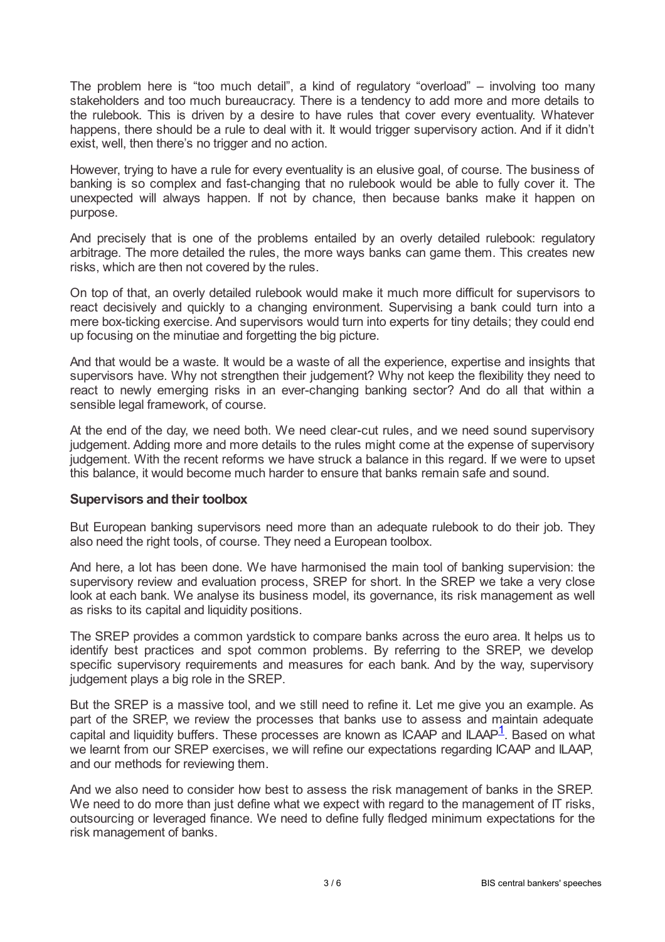The problem here is "too much detail", a kind of regulatory "overload" – involving too many stakeholders and too much bureaucracy. There is a tendency to add more and more details to the rulebook. This is driven by a desire to have rules that cover every eventuality. Whatever happens, there should be a rule to deal with it. It would trigger supervisory action. And if it didn't exist, well, then there's no trigger and no action.

However, trying to have a rule for every eventuality is an elusive goal, of course. The business of banking is so complex and fast-changing that no rulebook would be able to fully cover it. The unexpected will always happen. If not by chance, then because banks make it happen on purpose.

And precisely that is one of the problems entailed by an overly detailed rulebook: regulatory arbitrage. The more detailed the rules, the more ways banks can game them. This creates new risks, which are then not covered by the rules.

On top of that, an overly detailed rulebook would make it much more difficult for supervisors to react decisively and quickly to a changing environment. Supervising a bank could turn into a mere box-ticking exercise. And supervisors would turn into experts for tiny details; they could end up focusing on the minutiae and forgetting the big picture.

And that would be a waste. It would be a waste of all the experience, expertise and insights that supervisors have. Why not strengthen their judgement? Why not keep the flexibility they need to react to newly emerging risks in an ever-changing banking sector? And do all that within a sensible legal framework, of course.

At the end of the day, we need both. We need clear-cut rules, and we need sound supervisory judgement. Adding more and more details to the rules might come at the expense of supervisory judgement. With the recent reforms we have struck a balance in this regard. If we were to upset this balance, it would become much harder to ensure that banks remain safe and sound.

### **Supervisors and their toolbox**

But European banking supervisors need more than an adequate rulebook to do their job. They also need the right tools, of course. They need a European toolbox.

And here, a lot has been done. We have harmonised the main tool of banking supervision: the supervisory review and evaluation process, SREP for short. In the SREP we take a very close look at each bank. We analyse its business model, its governance, its risk management as well as risks to its capital and liquidity positions.

The SREP provides a common yardstick to compare banks across the euro area. It helps us to identify best practices and spot common problems. By referring to the SREP, we develop specific supervisory requirements and measures for each bank. And by the way, supervisory judgement plays a big role in the SREP.

<span id="page-2-0"></span>But the SREP is a massive tool, and we still need to refine it. Let me give you an example. As part of the SREP, we review the processes that banks use to assess and maintain adequate .<br>capital and liquidity buffers. These processes are known as ICAAP and ILAAP<sup>[1](#page-5-0)</sup>. Based on what we learnt from our SREP exercises, we will refine our expectations regarding ICAAP and ILAAP, and our methods for reviewing them.

And we also need to consider how best to assess the risk management of banks in the SREP. We need to do more than just define what we expect with regard to the management of IT risks, outsourcing or leveraged finance. We need to define fully fledged minimum expectations for the risk management of banks.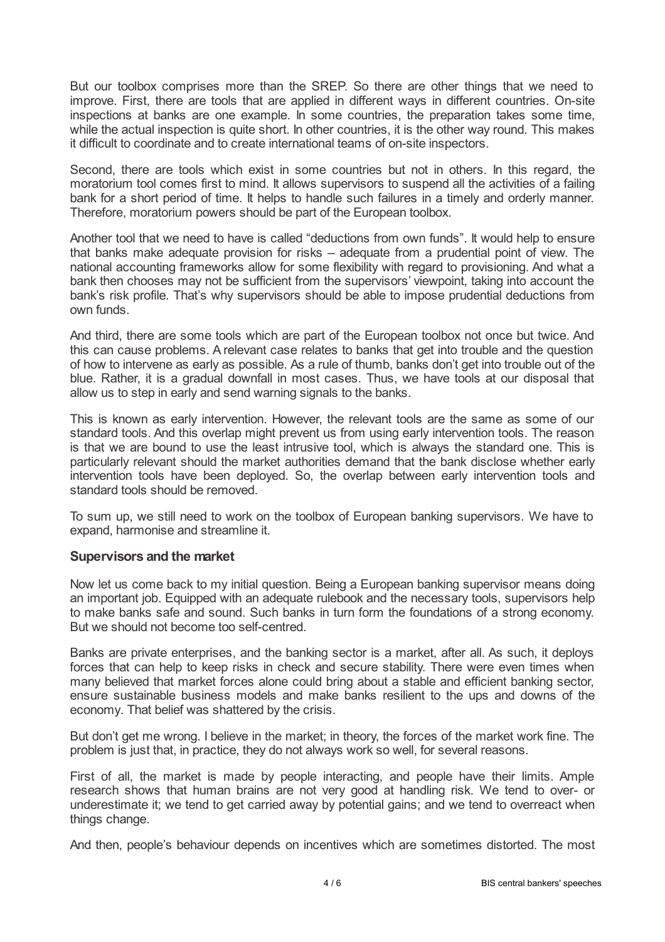But our toolbox comprises more than the SREP. So there are other things that we need to improve. First, there are tools that are applied in different ways in different countries. On-site inspections at banks are one example. In some countries, the preparation takes some time, while the actual inspection is quite short. In other countries, it is the other way round. This makes it difficult to coordinate and to create international teams of on-site inspectors.

Second, there are tools which exist in some countries but not in others. In this regard, the moratorium tool comes first to mind. It allows supervisors to suspend all the activities of a failing bank for a short period of time. It helps to handle such failures in a timely and orderly manner. Therefore, moratorium powers should be part of the European toolbox.

Another tool that we need to have is called "deductions from own funds". It would help to ensure that banks make adequate provision for risks – adequate from a prudential point of view. The national accounting frameworks allow for some flexibility with regard to provisioning. And what a bank then chooses may not be sufficient from the supervisors' viewpoint, taking into account the bank's risk profile. That's why supervisors should be able to impose prudential deductions from own funds.

And third, there are some tools which are part of the European toolbox not once but twice. And this can cause problems. A relevant case relates to banks that get into trouble and the question of how to intervene as early as possible. As a rule of thumb, banks don't get into trouble out of the blue. Rather, it is a gradual downfall in most cases. Thus, we have tools at our disposal that allow us to step in early and send warning signals to the banks.

This is known as early intervention. However, the relevant tools are the same as some of our standard tools. And this overlap might prevent us from using early intervention tools. The reason is that we are bound to use the least intrusive tool, which is always the standard one. This is particularly relevant should the market authorities demand that the bank disclose whether early intervention tools have been deployed. So, the overlap between early intervention tools and standard tools should be removed.

To sum up, we still need to work on the toolbox of European banking supervisors. We have to expand, harmonise and streamline it.

### **Supervisors and the market**

Now let us come back to my initial question. Being a European banking supervisor means doing an important job. Equipped with an adequate rulebook and the necessary tools, supervisors help to make banks safe and sound. Such banks in turn form the foundations of a strong economy. But we should not become too self-centred.

Banks are private enterprises, and the banking sector is a market, after all. As such, it deploys forces that can help to keep risks in check and secure stability. There were even times when many believed that market forces alone could bring about a stable and efficient banking sector, ensure sustainable business models and make banks resilient to the ups and downs of the economy. That belief was shattered by the crisis.

But don't get me wrong. I believe in the market; in theory, the forces of the market work fine. The problem is just that, in practice, they do not always work so well, for several reasons.

First of all, the market is made by people interacting, and people have their limits. Ample research shows that human brains are not very good at handling risk. We tend to over- or underestimate it; we tend to get carried away by potential gains; and we tend to overreact when things change.

And then, people's behaviour depends on incentives which are sometimes distorted. The most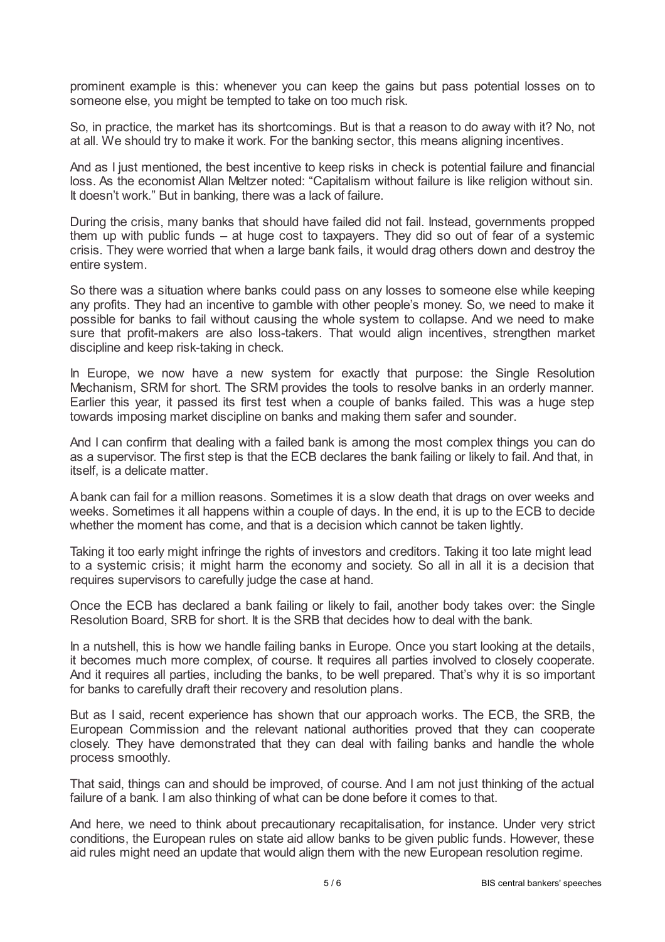prominent example is this: whenever you can keep the gains but pass potential losses on to someone else, you might be tempted to take on too much risk.

So, in practice, the market has its shortcomings. But is that a reason to do away with it? No, not at all. We should try to make it work. For the banking sector, this means aligning incentives.

And as I just mentioned, the best incentive to keep risks in check is potential failure and financial loss. As the economist Allan Meltzer noted: "Capitalism without failure is like religion without sin. It doesn't work." But in banking, there was a lack of failure.

During the crisis, many banks that should have failed did not fail. Instead, governments propped them up with public funds – at huge cost to taxpayers. They did so out of fear of a systemic crisis. They were worried that when a large bank fails, it would drag others down and destroy the entire system.

So there was a situation where banks could pass on any losses to someone else while keeping any profits. They had an incentive to gamble with other people's money. So, we need to make it possible for banks to fail without causing the whole system to collapse. And we need to make sure that profit-makers are also loss-takers. That would align incentives, strengthen market discipline and keep risk-taking in check.

In Europe, we now have a new system for exactly that purpose: the Single Resolution Mechanism, SRM for short. The SRM provides the tools to resolve banks in an orderly manner. Earlier this year, it passed its first test when a couple of banks failed. This was a huge step towards imposing market discipline on banks and making them safer and sounder.

And I can confirm that dealing with a failed bank is among the most complex things you can do as a supervisor. The first step is that the ECB declares the bank failing or likely to fail. And that, in itself, is a delicate matter.

Abank can fail for a million reasons. Sometimes it is a slow death that drags on over weeks and weeks. Sometimes it all happens within a couple of days. In the end, it is up to the ECB to decide whether the moment has come, and that is a decision which cannot be taken lightly.

Taking it too early might infringe the rights of investors and creditors. Taking it too late might lead to a systemic crisis; it might harm the economy and society. So all in all it is a decision that requires supervisors to carefully judge the case at hand.

Once the ECB has declared a bank failing or likely to fail, another body takes over: the Single Resolution Board, SRB for short. It is the SRB that decides how to deal with the bank.

In a nutshell, this is how we handle failing banks in Europe. Once you start looking at the details, it becomes much more complex, of course. It requires all parties involved to closely cooperate. And it requires all parties, including the banks, to be well prepared. That's why it is so important for banks to carefully draft their recovery and resolution plans.

But as I said, recent experience has shown that our approach works. The ECB, the SRB, the European Commission and the relevant national authorities proved that they can cooperate closely. They have demonstrated that they can deal with failing banks and handle the whole process smoothly.

That said, things can and should be improved, of course. And I am not just thinking of the actual failure of a bank. I am also thinking of what can be done before it comes to that.

And here, we need to think about precautionary recapitalisation, for instance. Under very strict conditions, the European rules on state aid allow banks to be given public funds. However, these aid rules might need an update that would align them with the new European resolution regime.